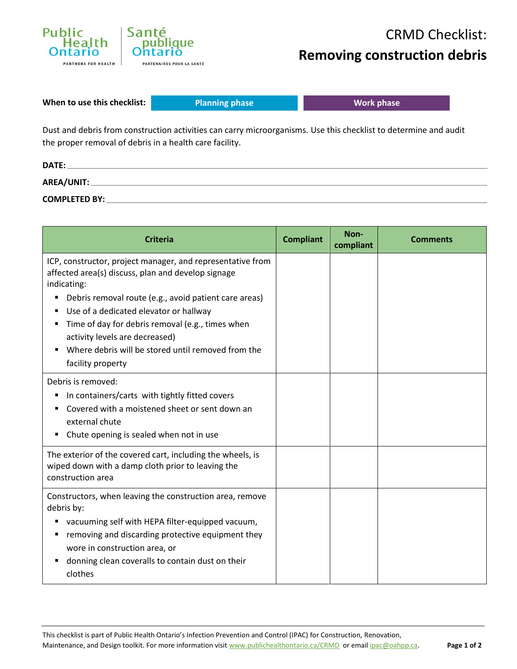

**When to use this checklist:**

**Planning phase Work phase** 

Dust and debris from construction activities can carry microorganisms*.* Use this checklist to determine and audit the proper removal of debris in a health care facility.

| DATE:                |  |
|----------------------|--|
| AREA/UNIT:           |  |
| <b>COMPLETED BY:</b> |  |

| <b>Criteria</b>                                                                                                                                                                                                                                                                                                                                                                                     | <b>Compliant</b> | Non-<br>compliant | <b>Comments</b> |
|-----------------------------------------------------------------------------------------------------------------------------------------------------------------------------------------------------------------------------------------------------------------------------------------------------------------------------------------------------------------------------------------------------|------------------|-------------------|-----------------|
| ICP, constructor, project manager, and representative from<br>affected area(s) discuss, plan and develop signage<br>indicating:<br>Debris removal route (e.g., avoid patient care areas)<br>Use of a dedicated elevator or hallway<br>Time of day for debris removal (e.g., times when<br>activity levels are decreased)<br>Where debris will be stored until removed from the<br>facility property |                  |                   |                 |
| Debris is removed:<br>In containers/carts with tightly fitted covers<br>Covered with a moistened sheet or sent down an<br>external chute<br>Chute opening is sealed when not in use                                                                                                                                                                                                                 |                  |                   |                 |
| The exterior of the covered cart, including the wheels, is<br>wiped down with a damp cloth prior to leaving the<br>construction area                                                                                                                                                                                                                                                                |                  |                   |                 |
| Constructors, when leaving the construction area, remove<br>debris by:<br>vacuuming self with HEPA filter-equipped vacuum,<br>removing and discarding protective equipment they<br>wore in construction area, or<br>donning clean coveralls to contain dust on their<br>clothes                                                                                                                     |                  |                   |                 |